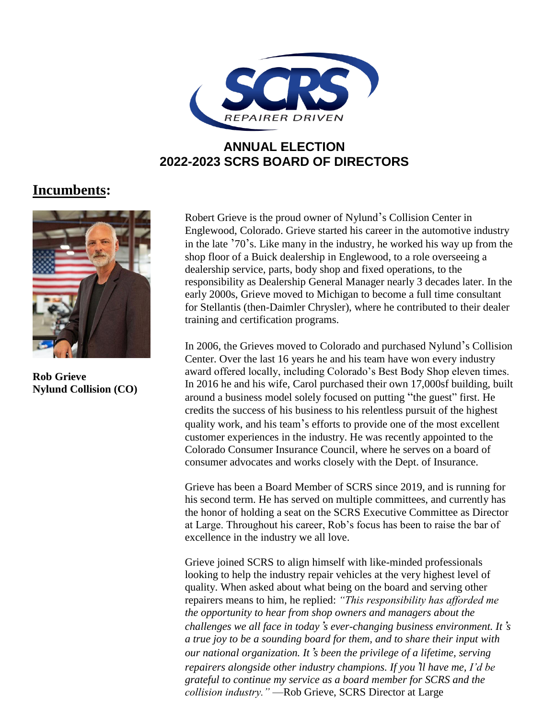

## **ANNUAL ELECTION 2022-2023 SCRS BOARD OF DIRECTORS**

## **Incumbents:**



**Rob Grieve Nylund Collision (CO)**

Robert Grieve is the proud owner of Nylund's Collision Center in Englewood, Colorado. Grieve started his career in the automotive industry in the late '70's. Like many in the industry, he worked his way up from the shop floor of a Buick dealership in Englewood, to a role overseeing a dealership service, parts, body shop and fixed operations, to the responsibility as Dealership General Manager nearly 3 decades later. In the early 2000s, Grieve moved to Michigan to become a full time consultant for Stellantis (then-Daimler Chrysler), where he contributed to their dealer training and certification programs.

In 2006, the Grieves moved to Colorado and purchased Nylund's Collision Center. Over the last 16 years he and his team have won every industry award offered locally, including Colorado's Best Body Shop eleven times. In 2016 he and his wife, Carol purchased their own 17,000sf building, built around a business model solely focused on putting "the guest" first. He credits the success of his business to his relentless pursuit of the highest quality work, and his team's efforts to provide one of the most excellent customer experiences in the industry. He was recently appointed to the Colorado Consumer Insurance Council, where he serves on a board of consumer advocates and works closely with the Dept. of Insurance.

Grieve has been a Board Member of SCRS since 2019, and is running for his second term. He has served on multiple committees, and currently has the honor of holding a seat on the SCRS Executive Committee as Director at Large. Throughout his career, Rob's focus has been to raise the bar of excellence in the industry we all love.

Grieve joined SCRS to align himself with like-minded professionals looking to help the industry repair vehicles at the very highest level of quality. When asked about what being on the board and serving other repairers means to him, he replied: *"This responsibility has afforded me the opportunity to hear from shop owners and managers about the challenges we all face in today*'*s ever-changing business environment. It*'*s a true joy to be a sounding board for them, and to share their input with our national organization. It*'*s been the privilege of a lifetime, serving repairers alongside other industry champions. If you*'*ll have me, I'd be grateful to continue my service as a board member for SCRS and the collision industry."* —Rob Grieve, SCRS Director at Large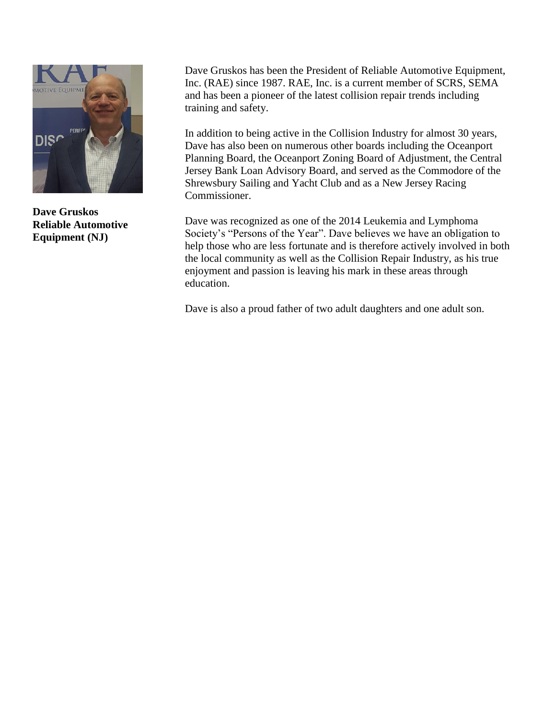

**Dave Gruskos Reliable Automotive Equipment (NJ)**

Dave Gruskos has been the President of Reliable Automotive Equipment, Inc. (RAE) since 1987. RAE, Inc. is a current member of SCRS, SEMA and has been a pioneer of the latest collision repair trends including training and safety.

In addition to being active in the Collision Industry for almost 30 years, Dave has also been on numerous other boards including the Oceanport Planning Board, the Oceanport Zoning Board of Adjustment, the Central Jersey Bank Loan Advisory Board, and served as the Commodore of the Shrewsbury Sailing and Yacht Club and as a New Jersey Racing Commissioner.

Dave was recognized as one of the 2014 Leukemia and Lymphoma Society's "Persons of the Year". Dave believes we have an obligation to help those who are less fortunate and is therefore actively involved in both the local community as well as the Collision Repair Industry, as his true enjoyment and passion is leaving his mark in these areas through education.

Dave is also a proud father of two adult daughters and one adult son.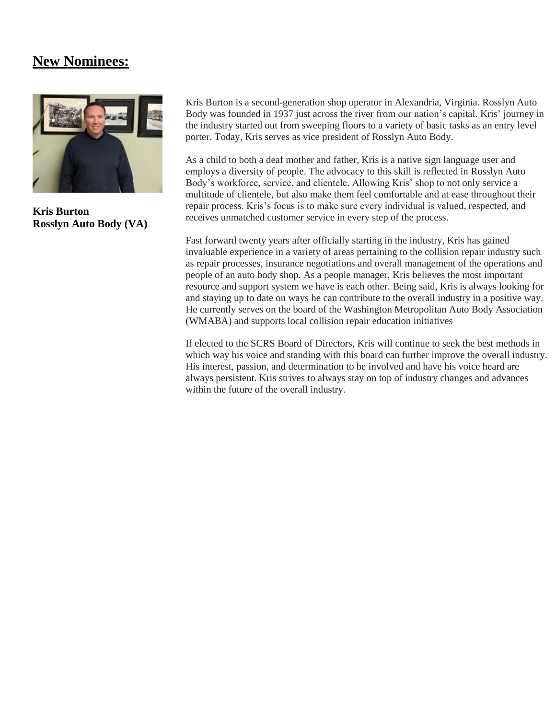## **New Nominees:**



**Kris Burton Rosslyn Auto Body (VA)** Kris Burton is a second-generation shop operator in Alexandria, Virginia. Rosslyn Auto Body was founded in 1937 just across the river from our nation's capital. Kris' journey in the industry started out from sweeping floors to a variety of basic tasks as an entry level porter. Today, Kris serves as vice president of Rosslyn Auto Body.

As a child to both a deaf mother and father, Kris is a native sign language user and employs a diversity of people. The advocacy to this skill is reflected in Rosslyn Auto Body's workforce, service, and clientele. Allowing Kris' shop to not only service a multitude of clientele, but also make them feel comfortable and at ease throughout their repair process. Kris's focus is to make sure every individual is valued, respected, and receives unmatched customer service in every step of the process.

Fast forward twenty years after officially starting in the industry, Kris has gained invaluable experience in a variety of areas pertaining to the collision repair industry such as repair processes, insurance negotiations and overall management of the operations and people of an auto body shop. As a people manager, Kris believes the most important resource and support system we have is each other. Being said, Kris is always looking for and staying up to date on ways he can contribute to the overall industry in a positive way. He currently serves on the board of the Washington Metropolitan Auto Body Association (WMABA) and supports local collision repair education initiatives

If elected to the SCRS Board of Directors, Kris will continue to seek the best methods in which way his voice and standing with this board can further improve the overall industry. His interest, passion, and determination to be involved and have his voice heard are always persistent. Kris strives to always stay on top of industry changes and advances within the future of the overall industry.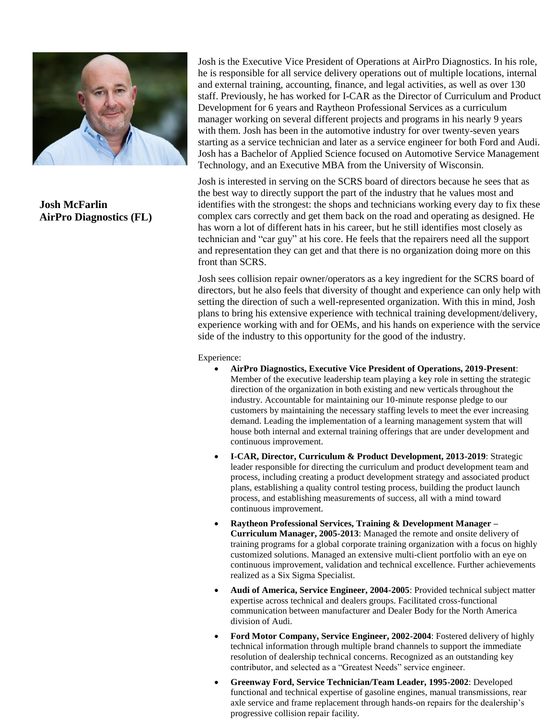

**Josh McFarlin AirPro Diagnostics (FL)** Josh is the Executive Vice President of Operations at AirPro Diagnostics. In his role, he is responsible for all service delivery operations out of multiple locations, internal and external training, accounting, finance, and legal activities, as well as over 130 staff. Previously, he has worked for I-CAR as the Director of Curriculum and Product Development for 6 years and Raytheon Professional Services as a curriculum manager working on several different projects and programs in his nearly 9 years with them. Josh has been in the automotive industry for over twenty-seven years starting as a service technician and later as a service engineer for both Ford and Audi. Josh has a Bachelor of Applied Science focused on Automotive Service Management Technology, and an Executive MBA from the University of Wisconsin.

Josh is interested in serving on the SCRS board of directors because he sees that as the best way to directly support the part of the industry that he values most and identifies with the strongest: the shops and technicians working every day to fix these complex cars correctly and get them back on the road and operating as designed. He has worn a lot of different hats in his career, but he still identifies most closely as technician and "car guy" at his core. He feels that the repairers need all the support and representation they can get and that there is no organization doing more on this front than SCRS.

Josh sees collision repair owner/operators as a key ingredient for the SCRS board of directors, but he also feels that diversity of thought and experience can only help with setting the direction of such a well-represented organization. With this in mind, Josh plans to bring his extensive experience with technical training development/delivery, experience working with and for OEMs, and his hands on experience with the service side of the industry to this opportunity for the good of the industry.

Experience:

- **AirPro Diagnostics, Executive Vice President of Operations, 2019-Present**: Member of the executive leadership team playing a key role in setting the strategic direction of the organization in both existing and new verticals throughout the industry. Accountable for maintaining our 10-minute response pledge to our customers by maintaining the necessary staffing levels to meet the ever increasing demand. Leading the implementation of a learning management system that will house both internal and external training offerings that are under development and continuous improvement.
- **I-CAR, Director, Curriculum & Product Development, 2013-2019**: Strategic leader responsible for directing the curriculum and product development team and process, including creating a product development strategy and associated product plans, establishing a quality control testing process, building the product launch process, and establishing measurements of success, all with a mind toward continuous improvement.
- **Raytheon Professional Services, Training & Development Manager – Curriculum Manager, 2005-2013**: Managed the remote and onsite delivery of training programs for a global corporate training organization with a focus on highly customized solutions. Managed an extensive multi-client portfolio with an eye on continuous improvement, validation and technical excellence. Further achievements realized as a Six Sigma Specialist.
- **Audi of America, Service Engineer, 2004-2005**: Provided technical subject matter expertise across technical and dealers groups. Facilitated cross-functional communication between manufacturer and Dealer Body for the North America division of Audi.
- **Ford Motor Company, Service Engineer, 2002-2004**: Fostered delivery of highly technical information through multiple brand channels to support the immediate resolution of dealership technical concerns. Recognized as an outstanding key contributor, and selected as a "Greatest Needs" service engineer.
- **Greenway Ford, Service Technician/Team Leader, 1995-2002**: Developed functional and technical expertise of gasoline engines, manual transmissions, rear axle service and frame replacement through hands-on repairs for the dealership's progressive collision repair facility.